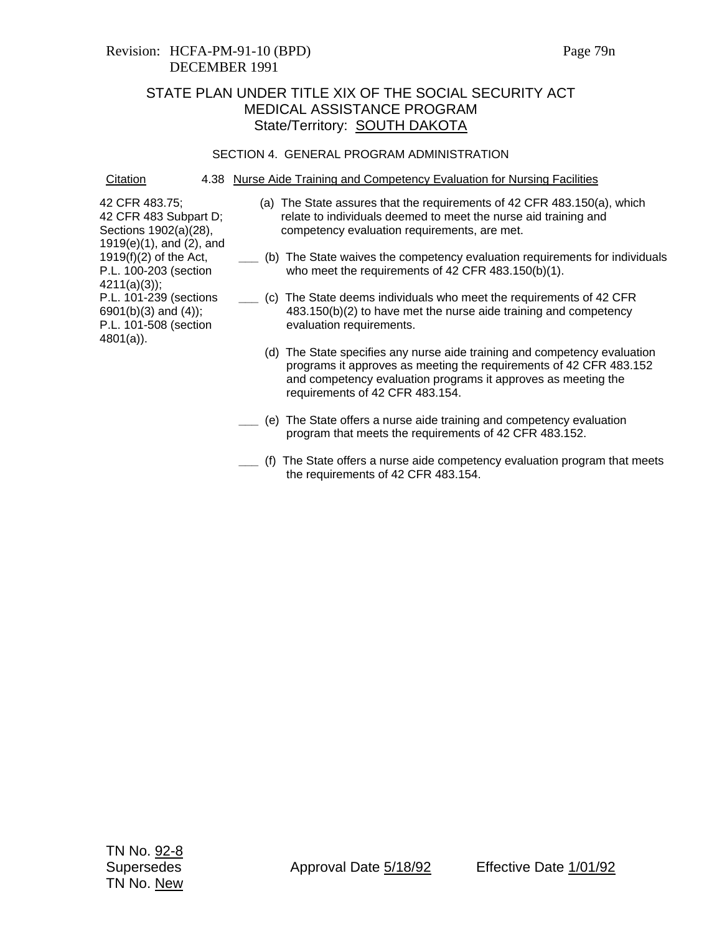## Revision: HCFA-PM-91-10 (BPD) Page 79n DECEMBER 1991

# STATE PLAN UNDER TITLE XIX OF THE SOCIAL SECURITY ACT MEDICAL ASSISTANCE PROGRAM State/Territory: **SOUTH DAKOTA**

#### SECTION 4. GENERAL PROGRAM ADMINISTRATION

Citation 4.38 Nurse Aide Training and Competency Evaluation for Nursing Facilities

- (a) The State assures that the requirements of 42 CFR 483.150(a), which relate to individuals deemed to meet the nurse aid training and competency evaluation requirements, are met.
- **\_\_\_** (b) The State waives the competency evaluation requirements for individuals who meet the requirements of 42 CFR 483.150(b)(1).
- **\_\_\_** (c) The State deems individuals who meet the requirements of 42 CFR 483.150(b)(2) to have met the nurse aide training and competency evaluation requirements.
	- (d) The State specifies any nurse aide training and competency evaluation programs it approves as meeting the requirements of 42 CFR 483.152 and competency evaluation programs it approves as meeting the requirements of 42 CFR 483.154.
	- **\_\_\_** (e) The State offers a nurse aide training and competency evaluation program that meets the requirements of 42 CFR 483.152.
	- **\_\_\_** (f) The State offers a nurse aide competency evaluation program that meets the requirements of 42 CFR 483.154.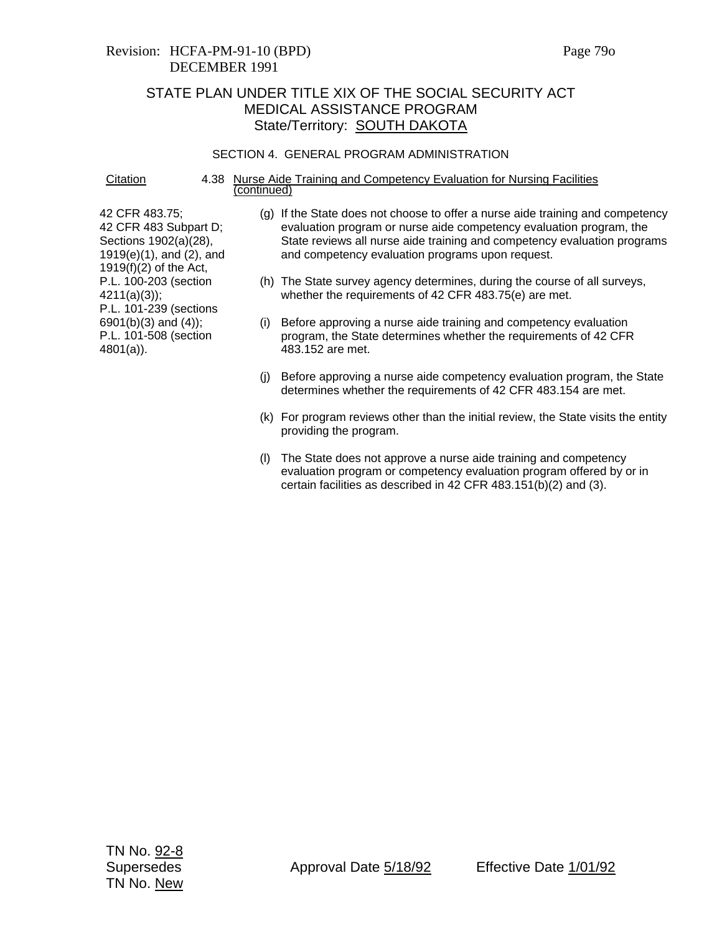# Revision: HCFA-PM-91-10 (BPD) Page 79o DECEMBER 1991

# STATE PLAN UNDER TITLE XIX OF THE SOCIAL SECURITY ACT MEDICAL ASSISTANCE PROGRAM State/Territory: **SOUTH DAKOTA**

#### SECTION 4. GENERAL PROGRAM ADMINISTRATION

Citation 4.38 Nurse Aide Training and Competency Evaluation for Nursing Facilities (continued)

- (g) If the State does not choose to offer a nurse aide training and competency evaluation program or nurse aide competency evaluation program, the State reviews all nurse aide training and competency evaluation programs and competency evaluation programs upon request.
- (h) The State survey agency determines, during the course of all surveys, whether the requirements of 42 CFR 483.75(e) are met.
- (i) Before approving a nurse aide training and competency evaluation program, the State determines whether the requirements of 42 CFR 483.152 are met.
- (j) Before approving a nurse aide competency evaluation program, the State determines whether the requirements of 42 CFR 483.154 are met.
- (k) For program reviews other than the initial review, the State visits the entity providing the program.
- (l) The State does not approve a nurse aide training and competency evaluation program or competency evaluation program offered by or in certain facilities as described in 42 CFR 483.151(b)(2) and (3).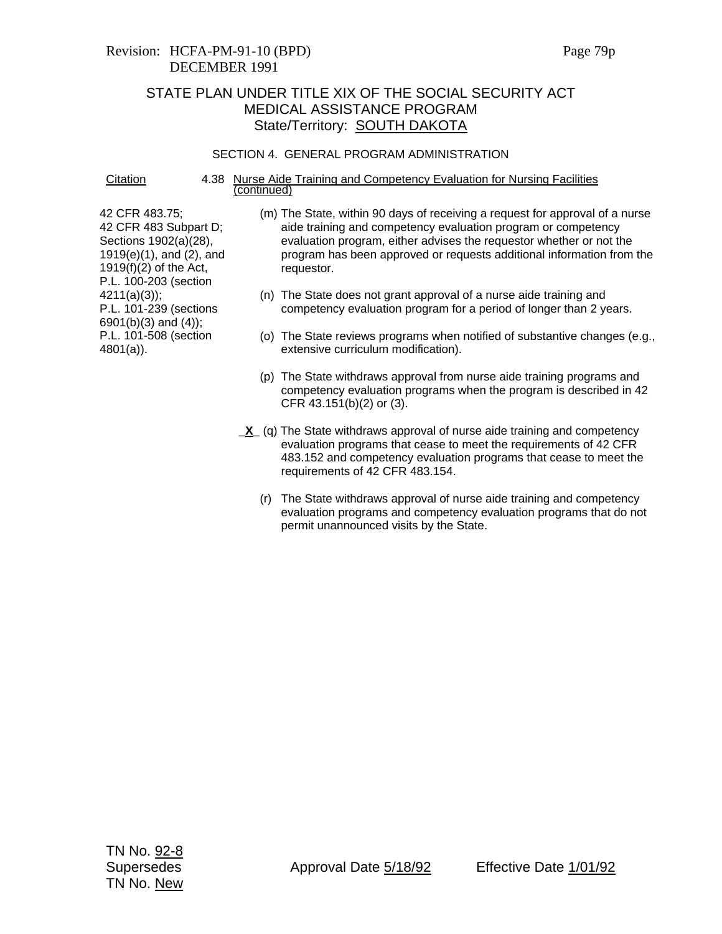# Revision: HCFA-PM-91-10 (BPD) Page 79p DECEMBER 1991

# STATE PLAN UNDER TITLE XIX OF THE SOCIAL SECURITY ACT MEDICAL ASSISTANCE PROGRAM State/Territory: **SOUTH DAKOTA**

### SECTION 4. GENERAL PROGRAM ADMINISTRATION

Citation 4.38 Nurse Aide Training and Competency Evaluation for Nursing Facilities (continued)

- (m) The State, within 90 days of receiving a request for approval of a nurse aide training and competency evaluation program or competency evaluation program, either advises the requestor whether or not the program has been approved or requests additional information from the requestor.
- (n) The State does not grant approval of a nurse aide training and competency evaluation program for a period of longer than 2 years.
- (o) The State reviews programs when notified of substantive changes (e.g., extensive curriculum modification).
- (p) The State withdraws approval from nurse aide training programs and competency evaluation programs when the program is described in 42 CFR 43.151(b)(2) or (3).
- **\_X** (q) The State withdraws approval of nurse aide training and competency evaluation programs that cease to meet the requirements of 42 CFR 483.152 and competency evaluation programs that cease to meet the requirements of 42 CFR 483.154.
	- (r) The State withdraws approval of nurse aide training and competency evaluation programs and competency evaluation programs that do not permit unannounced visits by the State.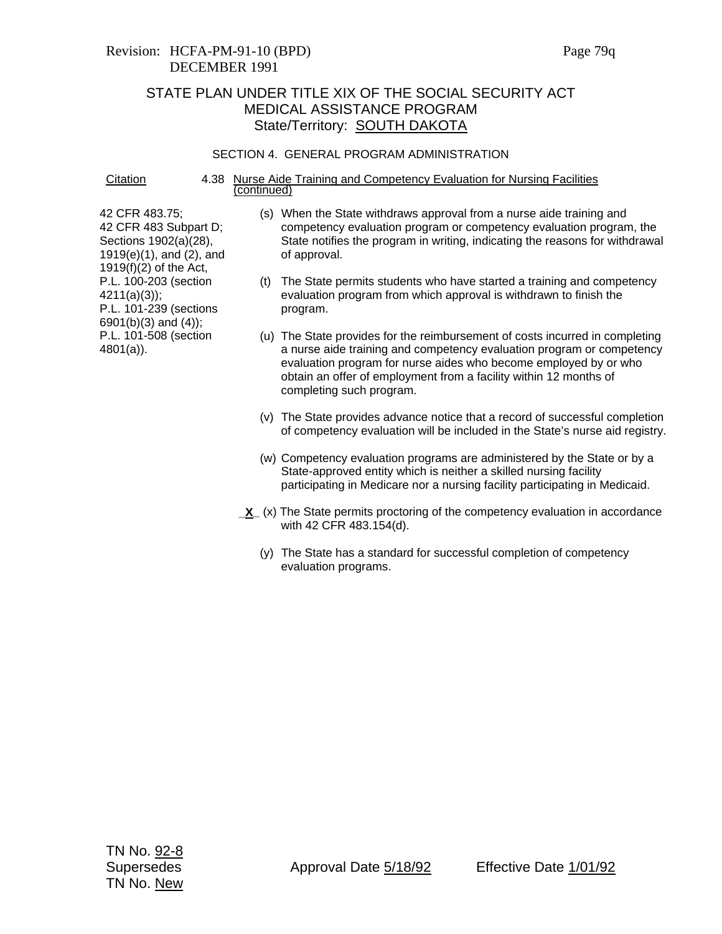## Revision: HCFA-PM-91-10 (BPD) Page 79q DECEMBER 1991

# STATE PLAN UNDER TITLE XIX OF THE SOCIAL SECURITY ACT MEDICAL ASSISTANCE PROGRAM State/Territory: **SOUTH DAKOTA**

#### SECTION 4. GENERAL PROGRAM ADMINISTRATION

Citation 4.38 Nurse Aide Training and Competency Evaluation for Nursing Facilities (continued)

- (s) When the State withdraws approval from a nurse aide training and competency evaluation program or competency evaluation program, the State notifies the program in writing, indicating the reasons for withdrawal of approval.
- (t) The State permits students who have started a training and competency evaluation program from which approval is withdrawn to finish the program.
- (u) The State provides for the reimbursement of costs incurred in completing a nurse aide training and competency evaluation program or competency evaluation program for nurse aides who become employed by or who obtain an offer of employment from a facility within 12 months of completing such program.
- (v) The State provides advance notice that a record of successful completion of competency evaluation will be included in the State's nurse aid registry.
- (w) Competency evaluation programs are administered by the State or by a State-approved entity which is neither a skilled nursing facility participating in Medicare nor a nursing facility participating in Medicaid.
- **<u>X</u>** (x) The State permits proctoring of the competency evaluation in accordance with 42 CFR 483.154(d).
	- (y) The State has a standard for successful completion of competency evaluation programs.